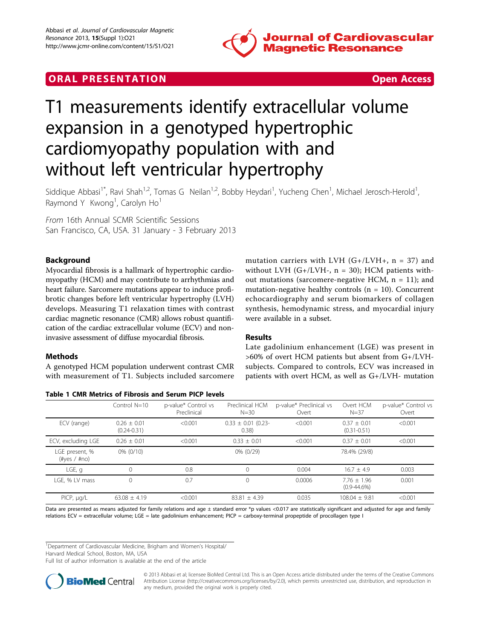

# **ORAL PRESENTATION CONSUMING ACCESS**



# T1 measurements identify extracellular volume expansion in a genotyped hypertrophic cardiomyopathy population with and without left ventricular hypertrophy

Siddique Abbasi<sup>1\*</sup>, Ravi Shah<sup>1,2</sup>, Tomas G Neilan<sup>1,2</sup>, Bobby Heydari<sup>1</sup>, Yucheng Chen<sup>1</sup>, Michael Jerosch-Herold<sup>1</sup> , Raymond Y Kwong<sup>1</sup>, Carolyn Ho<sup>1</sup>

From 16th Annual SCMR Scientific Sessions San Francisco, CA, USA. 31 January - 3 February 2013

## Background

Myocardial fibrosis is a hallmark of hypertrophic cardiomyopathy (HCM) and may contribute to arrhythmias and heart failure. Sarcomere mutations appear to induce profibrotic changes before left ventricular hypertrophy (LVH) develops. Measuring T1 relaxation times with contrast cardiac magnetic resonance (CMR) allows robust quantification of the cardiac extracellular volume (ECV) and noninvasive assessment of diffuse myocardial fibrosis.

### Methods

A genotyped HCM population underwent contrast CMR with measurement of T1. Subjects included sarcomere

| Table 1 CMR Metrics of Fibrosis and Serum PICP levels |
|-------------------------------------------------------|
|-------------------------------------------------------|

mutation carriers with LVH  $(G+/LVH+$ , n = 37) and without LVH  $(G+/LVH-, n = 30)$ ; HCM patients without mutations (sarcomere-negative HCM,  $n = 11$ ); and mutation-negative healthy controls ( $n = 10$ ). Concurrent echocardiography and serum biomarkers of collagen synthesis, hemodynamic stress, and myocardial injury were available in a subset.

### Results

Late gadolinium enhancement (LGE) was present in >60% of overt HCM patients but absent from G+/LVHsubjects. Compared to controls, ECV was increased in patients with overt HCM, as well as G+/LVH- mutation

|                                    | Control $N=10$                   | p-value* Control vs<br>Preclinical | Preclinical HCM<br>$N = 30$      | p-value* Preclinical vs<br>Overt | Overt HCM<br>$N = 37$             | p-value* Control vs<br>Overt |
|------------------------------------|----------------------------------|------------------------------------|----------------------------------|----------------------------------|-----------------------------------|------------------------------|
| ECV (range)                        | $0.26 + 0.01$<br>$(0.24 - 0.31)$ | < 0.001                            | $0.33 \pm 0.01$ (0.23-<br>(0.38) | < 0.001                          | $0.37 + 0.01$<br>$(0.31 - 0.51)$  | < 0.001                      |
| ECV, excluding LGE                 | $0.26 + 0.01$                    | < 0.001                            | $0.33 + 0.01$                    | < 0.001                          | $0.37 + 0.01$                     | < 0.001                      |
| LGE present, %<br>$(\#yes / \#no)$ | $0\% (0/10)$                     |                                    | 0% (0/29)                        |                                  | 78.4% (29/8)                      |                              |
| $LGE$ , q                          | 0                                | 0.8                                |                                  | 0.004                            | $16.7 + 4.9$                      | 0.003                        |
| LGE, % LV mass                     | 0                                | 0.7                                |                                  | 0.0006                           | $7.76 + 1.96$<br>$(0.9 - 44.6\%)$ | 0.001                        |
| PICP, µg/L                         | $63.08 + 4.19$                   | < 0.001                            | $83.81 + 4.39$                   | 0.035                            | $108.04 + 9.81$                   | < 0.001                      |

Data are presented as means adjusted for family relations and age  $\pm$  standard error \*p values <0.017 are statistically significant and adjusted for age and family relations ECV = extracellular volume; LGE = late gadolinium enhancement; PICP = carboxy-terminal propeptide of procollagen type I

<sup>1</sup>Department of Cardiovascular Medicine, Brigham and Women's Hospital/

Harvard Medical School, Boston, MA, USA

Full list of author information is available at the end of the article



© 2013 Abbasi et al; licensee BioMed Central Ltd. This is an Open Access article distributed under the terms of the Creative Commons Attribution License [\(http://creativecommons.org/licenses/by/2.0](http://creativecommons.org/licenses/by/2.0)), which permits unrestricted use, distribution, and reproduction in any medium, provided the original work is properly cited.